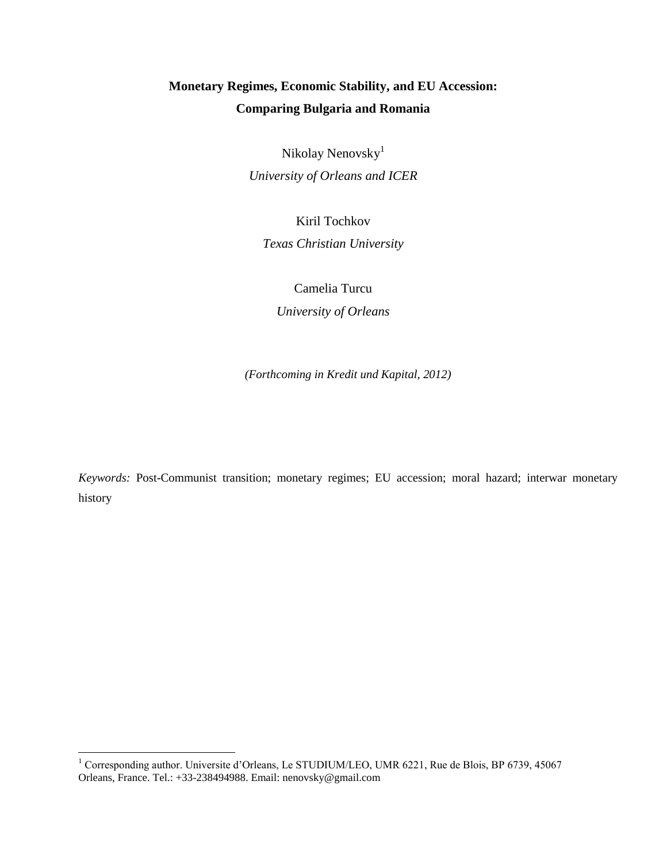# **Monetary Regimes, Economic Stability, and EU Accession: Comparing Bulgaria and Romania**

Nikolay Nenovsky<sup>1</sup> *University of Orleans and ICER*

Kiril Tochkov

*Texas Christian University*

Camelia Turcu

*University of Orleans*

*(Forthcoming in Kredit und Kapital, 2012)*

*Keywords:* Post-Communist transition; monetary regimes; EU accession; moral hazard; interwar monetary history

 $\overline{\phantom{a}}$ 

<sup>&</sup>lt;sup>1</sup> Corresponding author. Universite d'Orleans, Le STUDIUM/LEO, UMR 6221, Rue de Blois, BP 6739, 45067 Orleans, France. Tel.: +33-238494988. Email: nenovsky@gmail.com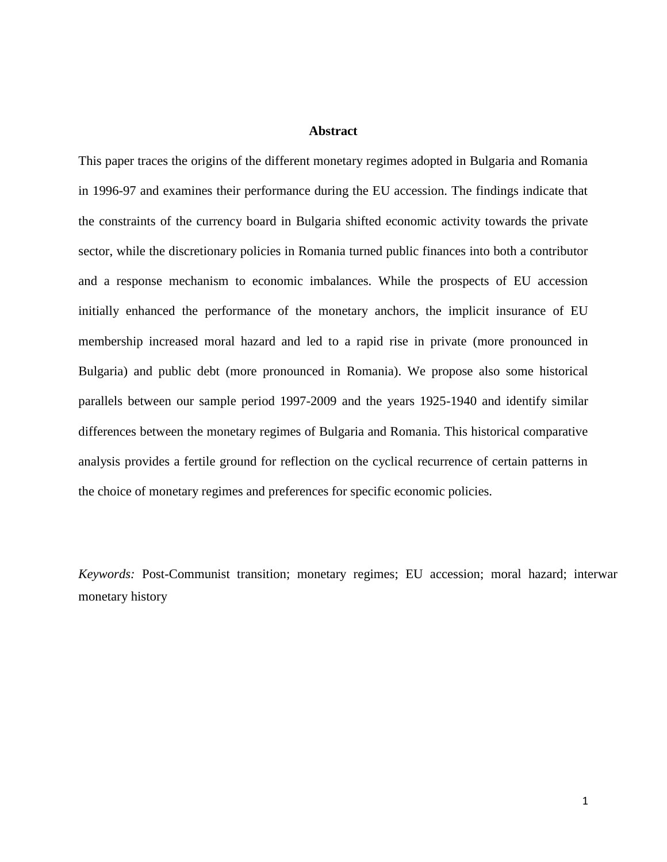## **Abstract**

This paper traces the origins of the different monetary regimes adopted in Bulgaria and Romania in 1996-97 and examines their performance during the EU accession. The findings indicate that the constraints of the currency board in Bulgaria shifted economic activity towards the private sector, while the discretionary policies in Romania turned public finances into both a contributor and a response mechanism to economic imbalances. While the prospects of EU accession initially enhanced the performance of the monetary anchors, the implicit insurance of EU membership increased moral hazard and led to a rapid rise in private (more pronounced in Bulgaria) and public debt (more pronounced in Romania). We propose also some historical parallels between our sample period 1997-2009 and the years 1925-1940 and identify similar differences between the monetary regimes of Bulgaria and Romania. This historical comparative analysis provides a fertile ground for reflection on the cyclical recurrence of certain patterns in the choice of monetary regimes and preferences for specific economic policies.

*Keywords:* Post-Communist transition; monetary regimes; EU accession; moral hazard; interwar monetary history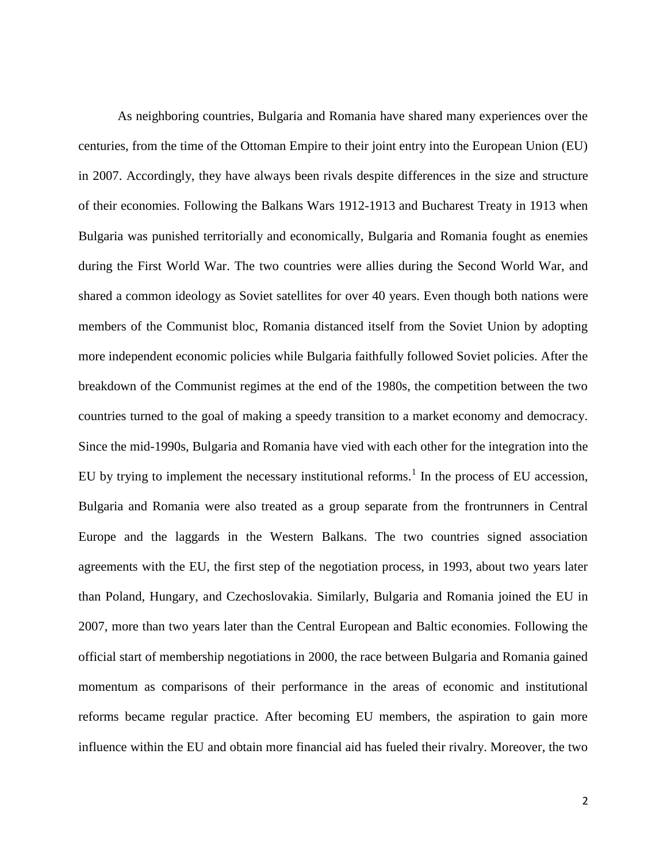As neighboring countries, Bulgaria and Romania have shared many experiences over the centuries, from the time of the Ottoman Empire to their joint entry into the European Union (EU) in 2007. Accordingly, they have always been rivals despite differences in the size and structure of their economies. Following the Balkans Wars 1912-1913 and Bucharest Treaty in 1913 when Bulgaria was punished territorially and economically, Bulgaria and Romania fought as enemies during the First World War. The two countries were allies during the Second World War, and shared a common ideology as Soviet satellites for over 40 years. Even though both nations were members of the Communist bloc, Romania distanced itself from the Soviet Union by adopting more independent economic policies while Bulgaria faithfully followed Soviet policies. After the breakdown of the Communist regimes at the end of the 1980s, the competition between the two countries turned to the goal of making a speedy transition to a market economy and democracy. Since the mid-1990s, Bulgaria and Romania have vied with each other for the integration into the EU by trying to implement the necessary institutional reforms.<sup>1</sup> In the process of EU accession, Bulgaria and Romania were also treated as a group separate from the frontrunners in Central Europe and the laggards in the Western Balkans. The two countries signed association agreements with the EU, the first step of the negotiation process, in 1993, about two years later than Poland, Hungary, and Czechoslovakia. Similarly, Bulgaria and Romania joined the EU in 2007, more than two years later than the Central European and Baltic economies. Following the official start of membership negotiations in 2000, the race between Bulgaria and Romania gained momentum as comparisons of their performance in the areas of economic and institutional reforms became regular practice. After becoming EU members, the aspiration to gain more influence within the EU and obtain more financial aid has fueled their rivalry. Moreover, the two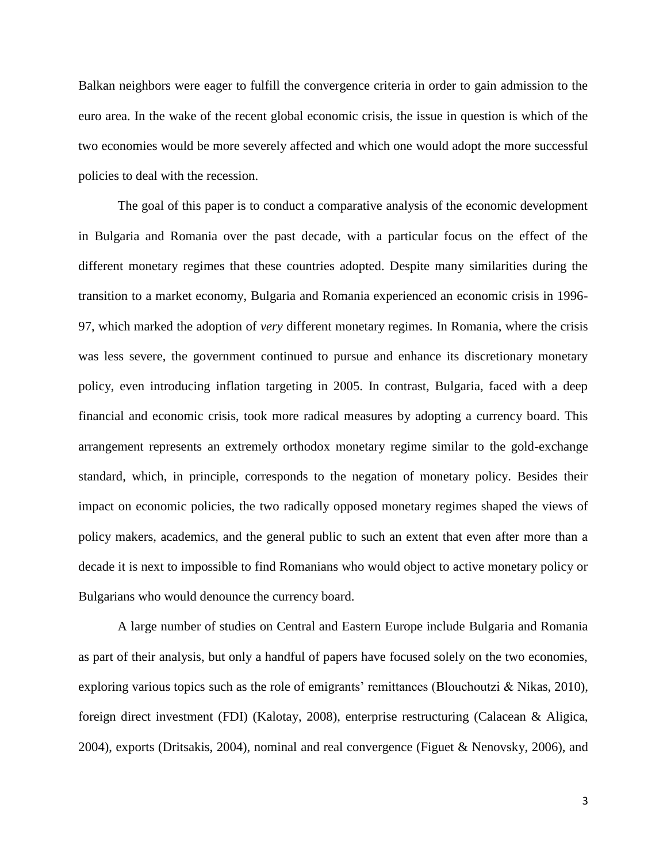Balkan neighbors were eager to fulfill the convergence criteria in order to gain admission to the euro area. In the wake of the recent global economic crisis, the issue in question is which of the two economies would be more severely affected and which one would adopt the more successful policies to deal with the recession.

The goal of this paper is to conduct a comparative analysis of the economic development in Bulgaria and Romania over the past decade, with a particular focus on the effect of the different monetary regimes that these countries adopted. Despite many similarities during the transition to a market economy, Bulgaria and Romania experienced an economic crisis in 1996- 97, which marked the adoption of *very* different monetary regimes. In Romania, where the crisis was less severe, the government continued to pursue and enhance its discretionary monetary policy, even introducing inflation targeting in 2005. In contrast, Bulgaria, faced with a deep financial and economic crisis, took more radical measures by adopting a currency board. This arrangement represents an extremely orthodox monetary regime similar to the gold-exchange standard, which, in principle, corresponds to the negation of monetary policy. Besides their impact on economic policies, the two radically opposed monetary regimes shaped the views of policy makers, academics, and the general public to such an extent that even after more than a decade it is next to impossible to find Romanians who would object to active monetary policy or Bulgarians who would denounce the currency board.

A large number of studies on Central and Eastern Europe include Bulgaria and Romania as part of their analysis, but only a handful of papers have focused solely on the two economies, exploring various topics such as the role of emigrants' remittances (Blouchoutzi & Nikas, 2010), foreign direct investment (FDI) (Kalotay, 2008), enterprise restructuring (Calacean & Aligica, 2004), exports (Dritsakis, 2004), nominal and real convergence (Figuet & Nenovsky, 2006), and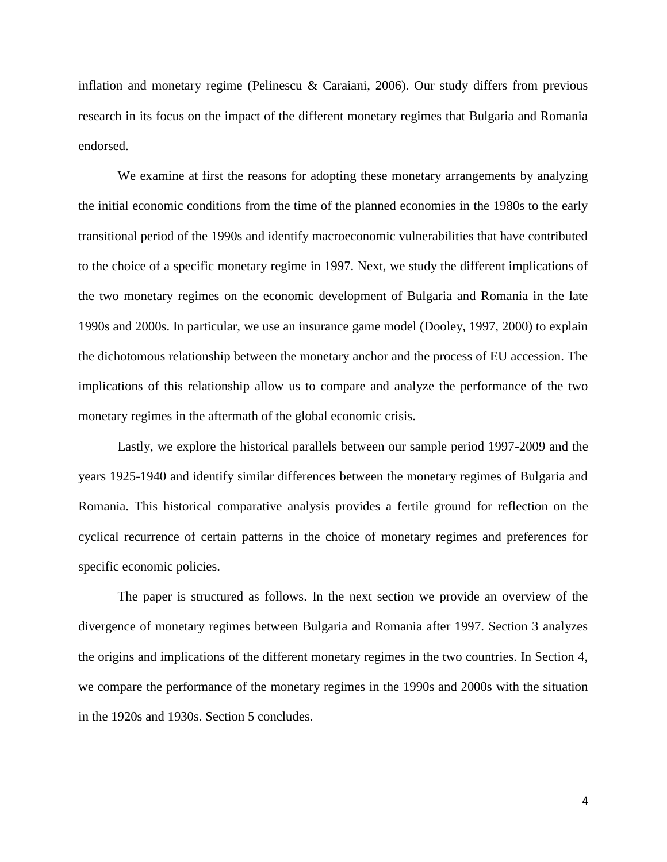inflation and monetary regime (Pelinescu & Caraiani, 2006). Our study differs from previous research in its focus on the impact of the different monetary regimes that Bulgaria and Romania endorsed.

We examine at first the reasons for adopting these monetary arrangements by analyzing the initial economic conditions from the time of the planned economies in the 1980s to the early transitional period of the 1990s and identify macroeconomic vulnerabilities that have contributed to the choice of a specific monetary regime in 1997. Next, we study the different implications of the two monetary regimes on the economic development of Bulgaria and Romania in the late 1990s and 2000s. In particular, we use an insurance game model (Dooley, 1997, 2000) to explain the dichotomous relationship between the monetary anchor and the process of EU accession. The implications of this relationship allow us to compare and analyze the performance of the two monetary regimes in the aftermath of the global economic crisis.

Lastly, we explore the historical parallels between our sample period 1997-2009 and the years 1925-1940 and identify similar differences between the monetary regimes of Bulgaria and Romania. This historical comparative analysis provides a fertile ground for reflection on the cyclical recurrence of certain patterns in the choice of monetary regimes and preferences for specific economic policies.

The paper is structured as follows. In the next section we provide an overview of the divergence of monetary regimes between Bulgaria and Romania after 1997. Section 3 analyzes the origins and implications of the different monetary regimes in the two countries. In Section 4, we compare the performance of the monetary regimes in the 1990s and 2000s with the situation in the 1920s and 1930s. Section 5 concludes.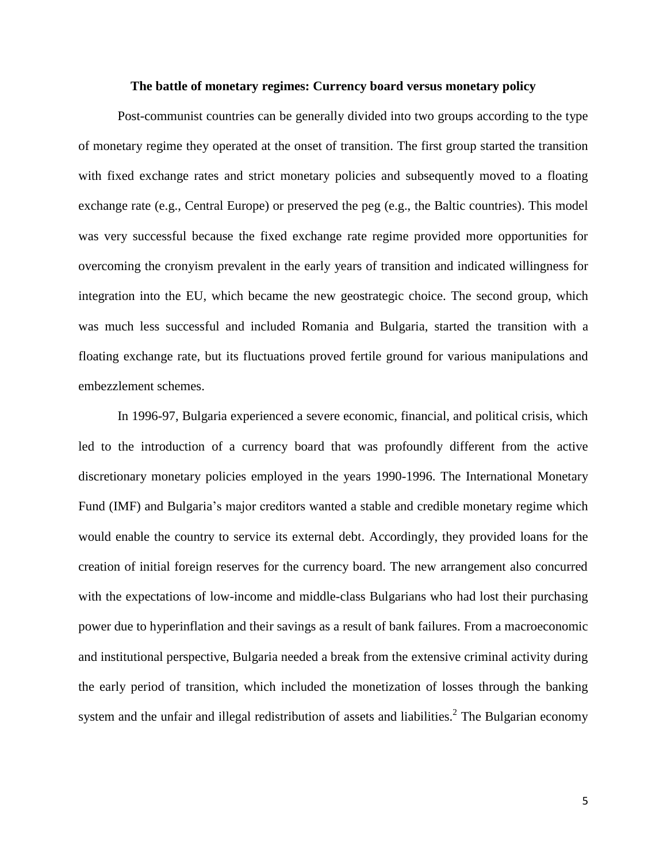### **The battle of monetary regimes: Currency board versus monetary policy**

Post-communist countries can be generally divided into two groups according to the type of monetary regime they operated at the onset of transition. The first group started the transition with fixed exchange rates and strict monetary policies and subsequently moved to a floating exchange rate (e.g., Central Europe) or preserved the peg (e.g., the Baltic countries). This model was very successful because the fixed exchange rate regime provided more opportunities for overcoming the cronyism prevalent in the early years of transition and indicated willingness for integration into the EU, which became the new geostrategic choice. The second group, which was much less successful and included Romania and Bulgaria, started the transition with a floating exchange rate, but its fluctuations proved fertile ground for various manipulations and embezzlement schemes.

In 1996-97, Bulgaria experienced a severe economic, financial, and political crisis, which led to the introduction of a currency board that was profoundly different from the active discretionary monetary policies employed in the years 1990-1996. The International Monetary Fund (IMF) and Bulgaria's major creditors wanted a stable and credible monetary regime which would enable the country to service its external debt. Accordingly, they provided loans for the creation of initial foreign reserves for the currency board. The new arrangement also concurred with the expectations of low-income and middle-class Bulgarians who had lost their purchasing power due to hyperinflation and their savings as a result of bank failures. From a macroeconomic and institutional perspective, Bulgaria needed a break from the extensive criminal activity during the early period of transition, which included the monetization of losses through the banking system and the unfair and illegal redistribution of assets and liabilities.<sup>2</sup> The Bulgarian economy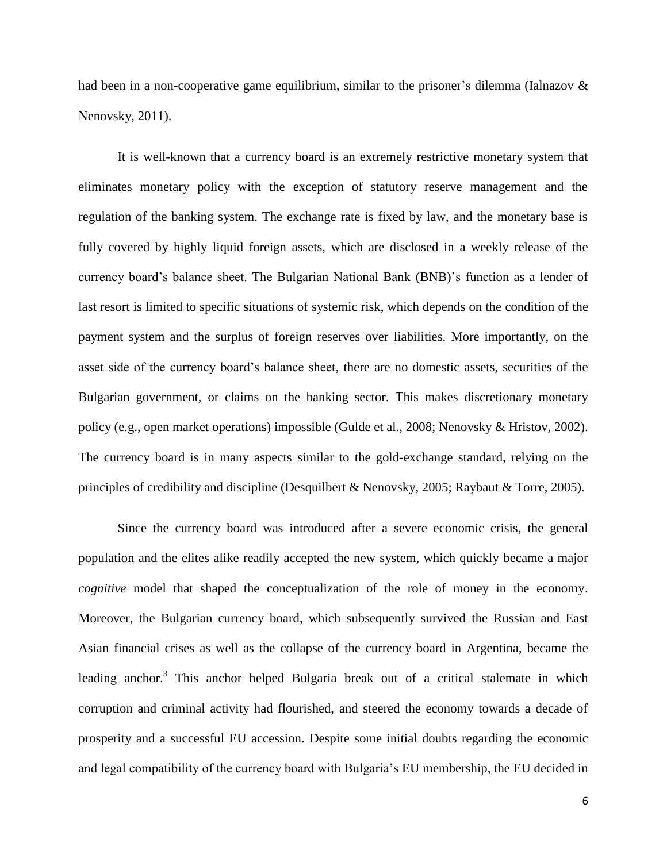had been in a non-cooperative game equilibrium, similar to the prisoner's dilemma (Ialnazov  $\&$ Nenovsky, 2011).

It is well-known that a currency board is an extremely restrictive monetary system that eliminates monetary policy with the exception of statutory reserve management and the regulation of the banking system. The exchange rate is fixed by law, and the monetary base is fully covered by highly liquid foreign assets, which are disclosed in a weekly release of the currency board's balance sheet. The Bulgarian National Bank (BNB)'s function as a lender of last resort is limited to specific situations of systemic risk, which depends on the condition of the payment system and the surplus of foreign reserves over liabilities. More importantly, on the asset side of the currency board's balance sheet, there are no domestic assets, securities of the Bulgarian government, or claims on the banking sector. This makes discretionary monetary policy (e.g., open market operations) impossible (Gulde et al., 2008; Nenovsky & Hristov, 2002). The currency board is in many aspects similar to the gold-exchange standard, relying on the principles of credibility and discipline (Desquilbert & Nenovsky, 2005; Raybaut & Torre, 2005).

Since the currency board was introduced after a severe economic crisis, the general population and the elites alike readily accepted the new system, which quickly became a major *cognitive* model that shaped the conceptualization of the role of money in the economy. Moreover, the Bulgarian currency board, which subsequently survived the Russian and East Asian financial crises as well as the collapse of the currency board in Argentina, became the leading anchor.<sup>3</sup> This anchor helped Bulgaria break out of a critical stalemate in which corruption and criminal activity had flourished, and steered the economy towards a decade of prosperity and a successful EU accession. Despite some initial doubts regarding the economic and legal compatibility of the currency board with Bulgaria's EU membership, the EU decided in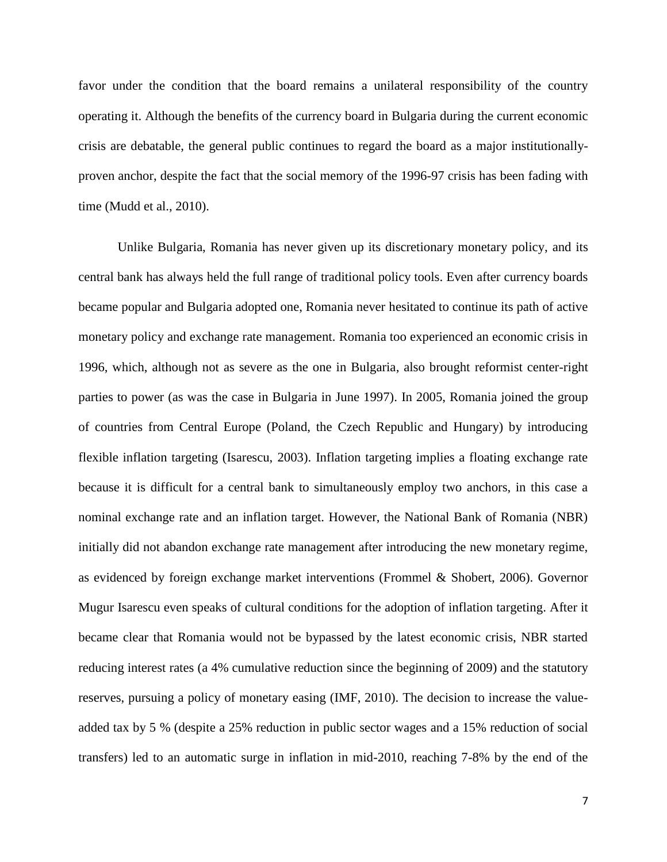favor under the condition that the board remains a unilateral responsibility of the country operating it. Although the benefits of the currency board in Bulgaria during the current economic crisis are debatable, the general public continues to regard the board as a major institutionallyproven anchor, despite the fact that the social memory of the 1996-97 crisis has been fading with time (Mudd et al., 2010).

Unlike Bulgaria, Romania has never given up its discretionary monetary policy, and its central bank has always held the full range of traditional policy tools. Even after currency boards became popular and Bulgaria adopted one, Romania never hesitated to continue its path of active monetary policy and exchange rate management. Romania too experienced an economic crisis in 1996, which, although not as severe as the one in Bulgaria, also brought reformist center-right parties to power (as was the case in Bulgaria in June 1997). In 2005, Romania joined the group of countries from Central Europe (Poland, the Czech Republic and Hungary) by introducing flexible inflation targeting (Isarescu, 2003). Inflation targeting implies a floating exchange rate because it is difficult for a central bank to simultaneously employ two anchors, in this case a nominal exchange rate and an inflation target. However, the National Bank of Romania (NBR) initially did not abandon exchange rate management after introducing the new monetary regime, as evidenced by foreign exchange market interventions (Frommel & Shobert, 2006). Governor Mugur Isarescu even speaks of cultural conditions for the adoption of inflation targeting. After it became clear that Romania would not be bypassed by the latest economic crisis, NBR started reducing interest rates (a 4% cumulative reduction since the beginning of 2009) and the statutory reserves, pursuing a policy of monetary easing (IMF, 2010). The decision to increase the valueadded tax by 5 % (despite a 25% reduction in public sector wages and a 15% reduction of social transfers) led to an automatic surge in inflation in mid-2010, reaching 7-8% by the end of the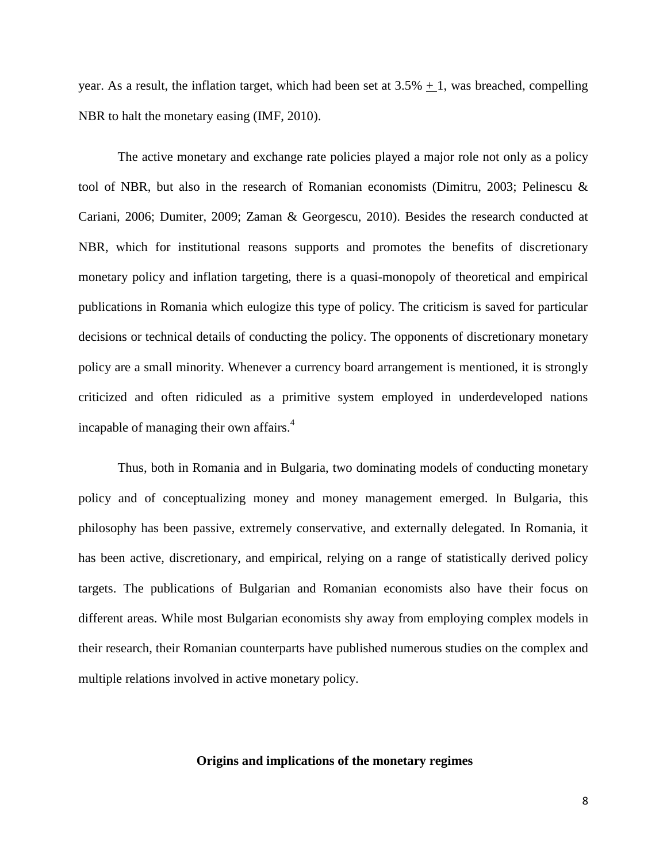year. As a result, the inflation target, which had been set at  $3.5% + 1$ , was breached, compelling NBR to halt the monetary easing (IMF, 2010).

The active monetary and exchange rate policies played a major role not only as a policy tool of NBR, but also in the research of Romanian economists (Dimitru, 2003; Pelinescu & Cariani, 2006; Dumiter, 2009; Zaman & Georgescu, 2010). Besides the research conducted at NBR, which for institutional reasons supports and promotes the benefits of discretionary monetary policy and inflation targeting, there is a quasi-monopoly of theoretical and empirical publications in Romania which eulogize this type of policy. The criticism is saved for particular decisions or technical details of conducting the policy. The opponents of discretionary monetary policy are a small minority. Whenever a currency board arrangement is mentioned, it is strongly criticized and often ridiculed as a primitive system employed in underdeveloped nations incapable of managing their own affairs. 4

Thus, both in Romania and in Bulgaria, two dominating models of conducting monetary policy and of conceptualizing money and money management emerged. In Bulgaria, this philosophy has been passive, extremely conservative, and externally delegated. In Romania, it has been active, discretionary, and empirical, relying on a range of statistically derived policy targets. The publications of Bulgarian and Romanian economists also have their focus on different areas. While most Bulgarian economists shy away from employing complex models in their research, their Romanian counterparts have published numerous studies on the complex and multiple relations involved in active monetary policy.

# **Origins and implications of the monetary regimes**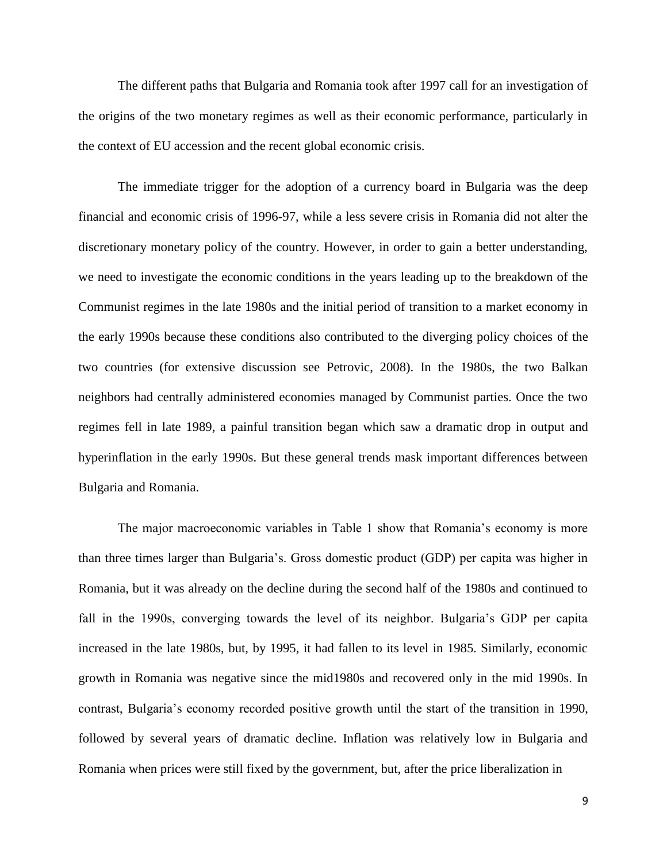The different paths that Bulgaria and Romania took after 1997 call for an investigation of the origins of the two monetary regimes as well as their economic performance, particularly in the context of EU accession and the recent global economic crisis.

The immediate trigger for the adoption of a currency board in Bulgaria was the deep financial and economic crisis of 1996-97, while a less severe crisis in Romania did not alter the discretionary monetary policy of the country. However, in order to gain a better understanding, we need to investigate the economic conditions in the years leading up to the breakdown of the Communist regimes in the late 1980s and the initial period of transition to a market economy in the early 1990s because these conditions also contributed to the diverging policy choices of the two countries (for extensive discussion see Petrovic, 2008). In the 1980s, the two Balkan neighbors had centrally administered economies managed by Communist parties. Once the two regimes fell in late 1989, a painful transition began which saw a dramatic drop in output and hyperinflation in the early 1990s. But these general trends mask important differences between Bulgaria and Romania.

The major macroeconomic variables in Table 1 show that Romania's economy is more than three times larger than Bulgaria's. Gross domestic product (GDP) per capita was higher in Romania, but it was already on the decline during the second half of the 1980s and continued to fall in the 1990s, converging towards the level of its neighbor. Bulgaria's GDP per capita increased in the late 1980s, but, by 1995, it had fallen to its level in 1985. Similarly, economic growth in Romania was negative since the mid1980s and recovered only in the mid 1990s. In contrast, Bulgaria's economy recorded positive growth until the start of the transition in 1990, followed by several years of dramatic decline. Inflation was relatively low in Bulgaria and Romania when prices were still fixed by the government, but, after the price liberalization in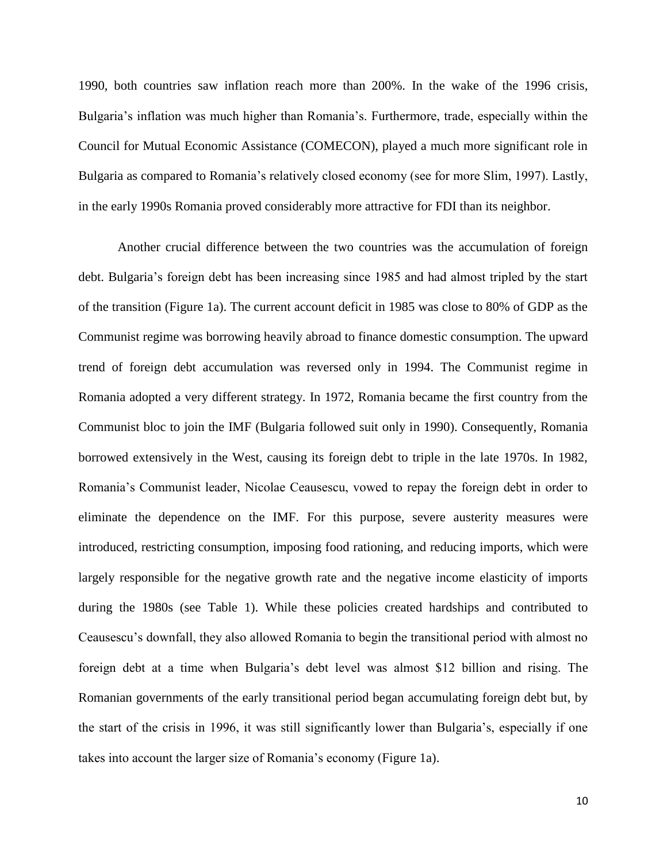1990, both countries saw inflation reach more than 200%. In the wake of the 1996 crisis, Bulgaria's inflation was much higher than Romania's. Furthermore, trade, especially within the Council for Mutual Economic Assistance (COMECON), played a much more significant role in Bulgaria as compared to Romania's relatively closed economy (see for more Slim, 1997). Lastly, in the early 1990s Romania proved considerably more attractive for FDI than its neighbor.

Another crucial difference between the two countries was the accumulation of foreign debt. Bulgaria's foreign debt has been increasing since 1985 and had almost tripled by the start of the transition (Figure 1a). The current account deficit in 1985 was close to 80% of GDP as the Communist regime was borrowing heavily abroad to finance domestic consumption. The upward trend of foreign debt accumulation was reversed only in 1994. The Communist regime in Romania adopted a very different strategy. In 1972, Romania became the first country from the Communist bloc to join the IMF (Bulgaria followed suit only in 1990). Consequently, Romania borrowed extensively in the West, causing its foreign debt to triple in the late 1970s. In 1982, Romania's Communist leader, Nicolae Ceausescu, vowed to repay the foreign debt in order to eliminate the dependence on the IMF. For this purpose, severe austerity measures were introduced, restricting consumption, imposing food rationing, and reducing imports, which were largely responsible for the negative growth rate and the negative income elasticity of imports during the 1980s (see Table 1). While these policies created hardships and contributed to Ceausescu's downfall, they also allowed Romania to begin the transitional period with almost no foreign debt at a time when Bulgaria's debt level was almost \$12 billion and rising. The Romanian governments of the early transitional period began accumulating foreign debt but, by the start of the crisis in 1996, it was still significantly lower than Bulgaria's, especially if one takes into account the larger size of Romania's economy (Figure 1a).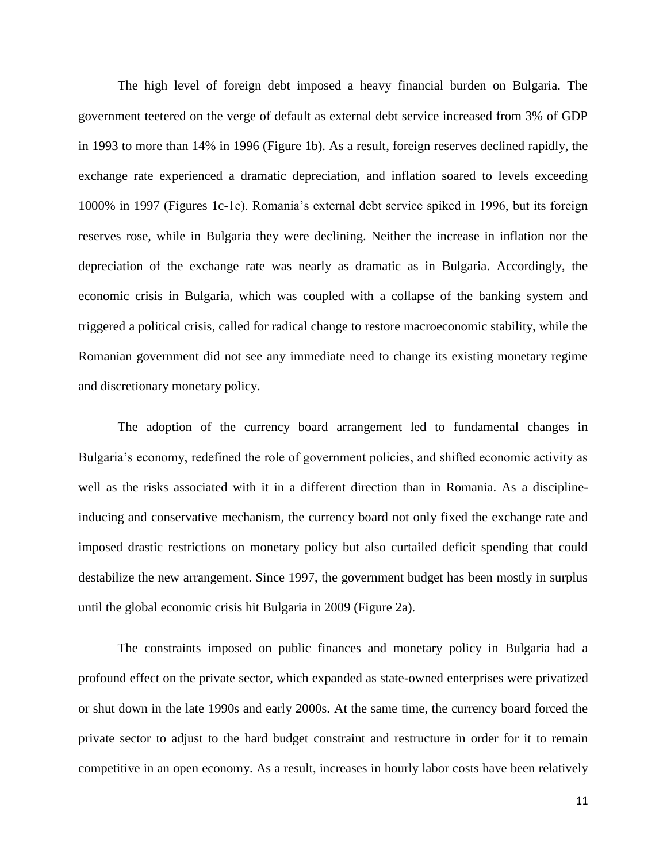The high level of foreign debt imposed a heavy financial burden on Bulgaria. The government teetered on the verge of default as external debt service increased from 3% of GDP in 1993 to more than 14% in 1996 (Figure 1b). As a result, foreign reserves declined rapidly, the exchange rate experienced a dramatic depreciation, and inflation soared to levels exceeding 1000% in 1997 (Figures 1c-1e). Romania's external debt service spiked in 1996, but its foreign reserves rose, while in Bulgaria they were declining. Neither the increase in inflation nor the depreciation of the exchange rate was nearly as dramatic as in Bulgaria. Accordingly, the economic crisis in Bulgaria, which was coupled with a collapse of the banking system and triggered a political crisis, called for radical change to restore macroeconomic stability, while the Romanian government did not see any immediate need to change its existing monetary regime and discretionary monetary policy.

The adoption of the currency board arrangement led to fundamental changes in Bulgaria's economy, redefined the role of government policies, and shifted economic activity as well as the risks associated with it in a different direction than in Romania. As a disciplineinducing and conservative mechanism, the currency board not only fixed the exchange rate and imposed drastic restrictions on monetary policy but also curtailed deficit spending that could destabilize the new arrangement. Since 1997, the government budget has been mostly in surplus until the global economic crisis hit Bulgaria in 2009 (Figure 2a).

The constraints imposed on public finances and monetary policy in Bulgaria had a profound effect on the private sector, which expanded as state-owned enterprises were privatized or shut down in the late 1990s and early 2000s. At the same time, the currency board forced the private sector to adjust to the hard budget constraint and restructure in order for it to remain competitive in an open economy. As a result, increases in hourly labor costs have been relatively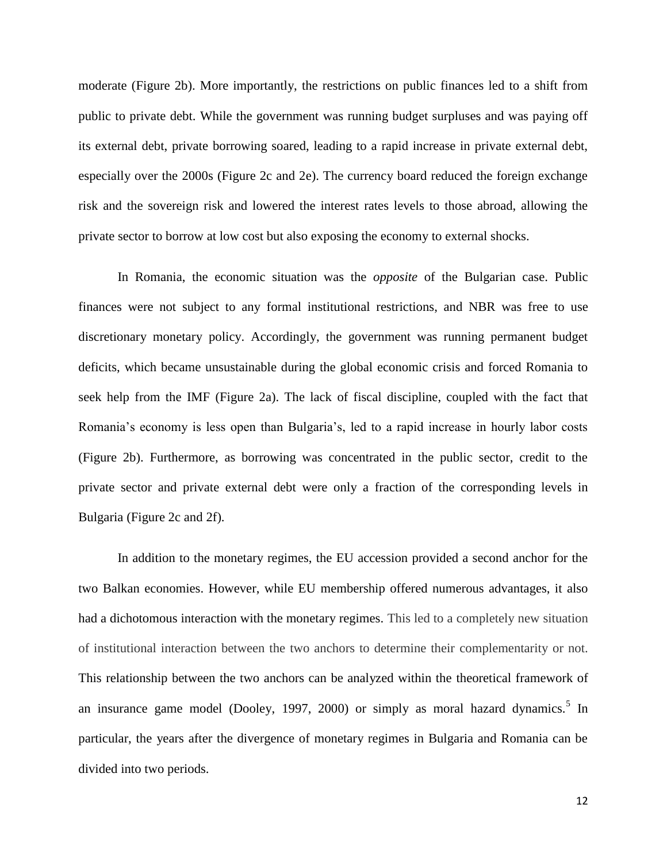moderate (Figure 2b). More importantly, the restrictions on public finances led to a shift from public to private debt. While the government was running budget surpluses and was paying off its external debt, private borrowing soared, leading to a rapid increase in private external debt, especially over the 2000s (Figure 2c and 2e). The currency board reduced the foreign exchange risk and the sovereign risk and lowered the interest rates levels to those abroad, allowing the private sector to borrow at low cost but also exposing the economy to external shocks.

In Romania, the economic situation was the *opposite* of the Bulgarian case. Public finances were not subject to any formal institutional restrictions, and NBR was free to use discretionary monetary policy. Accordingly, the government was running permanent budget deficits, which became unsustainable during the global economic crisis and forced Romania to seek help from the IMF (Figure 2a). The lack of fiscal discipline, coupled with the fact that Romania's economy is less open than Bulgaria's, led to a rapid increase in hourly labor costs (Figure 2b). Furthermore, as borrowing was concentrated in the public sector, credit to the private sector and private external debt were only a fraction of the corresponding levels in Bulgaria (Figure 2c and 2f).

In addition to the monetary regimes, the EU accession provided a second anchor for the two Balkan economies. However, while EU membership offered numerous advantages, it also had a dichotomous interaction with the monetary regimes. This led to a completely new situation of institutional interaction between the two anchors to determine their complementarity or not. This relationship between the two anchors can be analyzed within the theoretical framework of an insurance game model (Dooley, 1997, 2000) or simply as moral hazard dynamics.<sup>5</sup> In particular, the years after the divergence of monetary regimes in Bulgaria and Romania can be divided into two periods.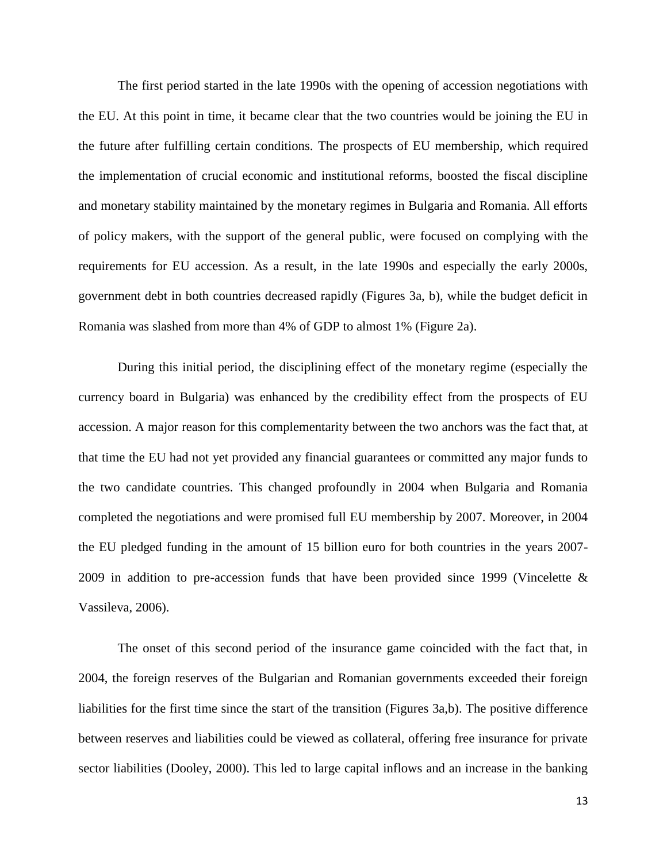The first period started in the late 1990s with the opening of accession negotiations with the EU. At this point in time, it became clear that the two countries would be joining the EU in the future after fulfilling certain conditions. The prospects of EU membership, which required the implementation of crucial economic and institutional reforms, boosted the fiscal discipline and monetary stability maintained by the monetary regimes in Bulgaria and Romania. All efforts of policy makers, with the support of the general public, were focused on complying with the requirements for EU accession. As a result, in the late 1990s and especially the early 2000s, government debt in both countries decreased rapidly (Figures 3a, b), while the budget deficit in Romania was slashed from more than 4% of GDP to almost 1% (Figure 2a).

During this initial period, the disciplining effect of the monetary regime (especially the currency board in Bulgaria) was enhanced by the credibility effect from the prospects of EU accession. A major reason for this complementarity between the two anchors was the fact that, at that time the EU had not yet provided any financial guarantees or committed any major funds to the two candidate countries. This changed profoundly in 2004 when Bulgaria and Romania completed the negotiations and were promised full EU membership by 2007. Moreover, in 2004 the EU pledged funding in the amount of 15 billion euro for both countries in the years 2007- 2009 in addition to pre-accession funds that have been provided since 1999 (Vincelette & Vassileva, 2006).

The onset of this second period of the insurance game coincided with the fact that, in 2004, the foreign reserves of the Bulgarian and Romanian governments exceeded their foreign liabilities for the first time since the start of the transition (Figures 3a,b). The positive difference between reserves and liabilities could be viewed as collateral, offering free insurance for private sector liabilities (Dooley, 2000). This led to large capital inflows and an increase in the banking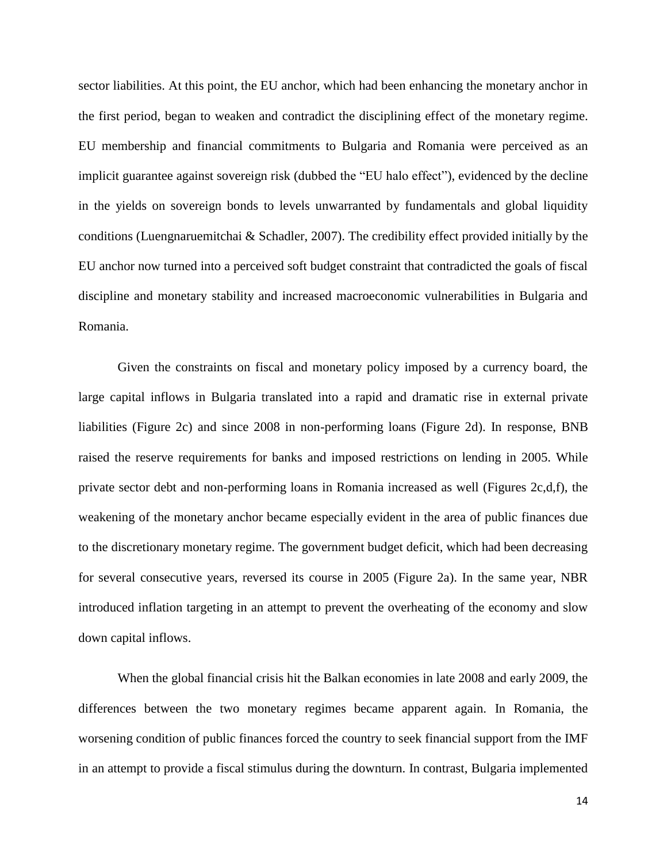sector liabilities. At this point, the EU anchor, which had been enhancing the monetary anchor in the first period, began to weaken and contradict the disciplining effect of the monetary regime. EU membership and financial commitments to Bulgaria and Romania were perceived as an implicit guarantee against sovereign risk (dubbed the "EU halo effect"), evidenced by the decline in the yields on sovereign bonds to levels unwarranted by fundamentals and global liquidity conditions (Luengnaruemitchai & Schadler, 2007). The credibility effect provided initially by the EU anchor now turned into a perceived soft budget constraint that contradicted the goals of fiscal discipline and monetary stability and increased macroeconomic vulnerabilities in Bulgaria and Romania.

Given the constraints on fiscal and monetary policy imposed by a currency board, the large capital inflows in Bulgaria translated into a rapid and dramatic rise in external private liabilities (Figure 2c) and since 2008 in non-performing loans (Figure 2d). In response, BNB raised the reserve requirements for banks and imposed restrictions on lending in 2005. While private sector debt and non-performing loans in Romania increased as well (Figures 2c,d,f), the weakening of the monetary anchor became especially evident in the area of public finances due to the discretionary monetary regime. The government budget deficit, which had been decreasing for several consecutive years, reversed its course in 2005 (Figure 2a). In the same year, NBR introduced inflation targeting in an attempt to prevent the overheating of the economy and slow down capital inflows.

When the global financial crisis hit the Balkan economies in late 2008 and early 2009, the differences between the two monetary regimes became apparent again. In Romania, the worsening condition of public finances forced the country to seek financial support from the IMF in an attempt to provide a fiscal stimulus during the downturn. In contrast, Bulgaria implemented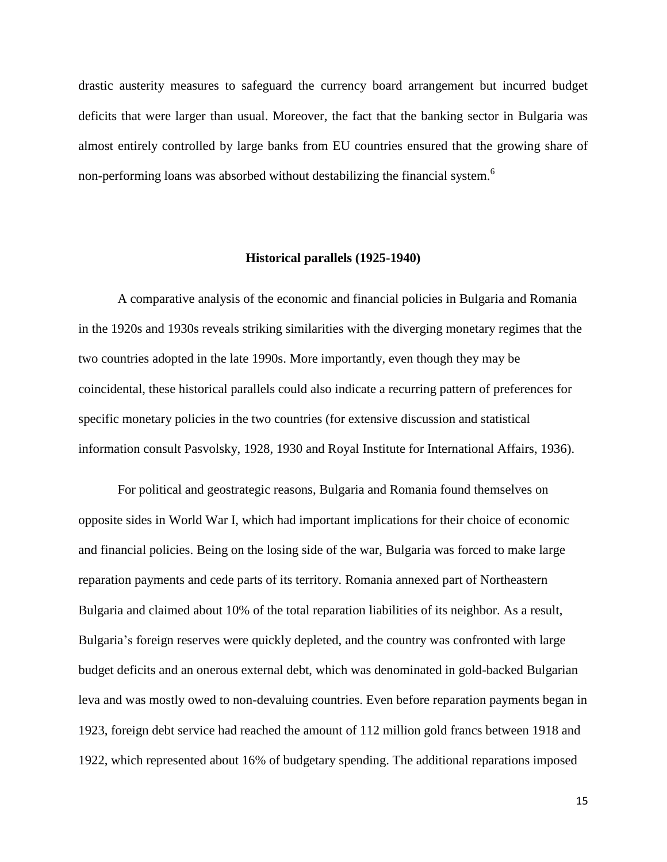drastic austerity measures to safeguard the currency board arrangement but incurred budget deficits that were larger than usual. Moreover, the fact that the banking sector in Bulgaria was almost entirely controlled by large banks from EU countries ensured that the growing share of non-performing loans was absorbed without destabilizing the financial system.<sup>6</sup>

#### **Historical parallels (1925-1940)**

A comparative analysis of the economic and financial policies in Bulgaria and Romania in the 1920s and 1930s reveals striking similarities with the diverging monetary regimes that the two countries adopted in the late 1990s. More importantly, even though they may be coincidental, these historical parallels could also indicate a recurring pattern of preferences for specific monetary policies in the two countries (for extensive discussion and statistical information consult Pasvolsky, 1928, 1930 and Royal Institute for International Affairs, 1936).

For political and geostrategic reasons, Bulgaria and Romania found themselves on opposite sides in World War I, which had important implications for their choice of economic and financial policies. Being on the losing side of the war, Bulgaria was forced to make large reparation payments and cede parts of its territory. Romania annexed part of Northeastern Bulgaria and claimed about 10% of the total reparation liabilities of its neighbor. As a result, Bulgaria's foreign reserves were quickly depleted, and the country was confronted with large budget deficits and an onerous external debt, which was denominated in gold-backed Bulgarian leva and was mostly owed to non-devaluing countries. Even before reparation payments began in 1923, foreign debt service had reached the amount of 112 million gold francs between 1918 and 1922, which represented about 16% of budgetary spending. The additional reparations imposed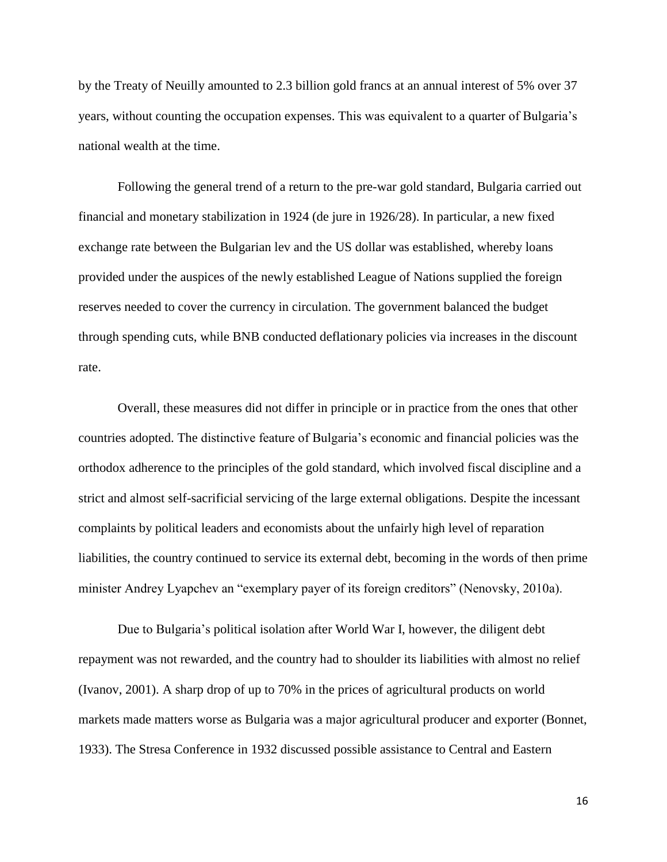by the Treaty of Neuilly amounted to 2.3 billion gold francs at an annual interest of 5% over 37 years, without counting the occupation expenses. This was equivalent to a quarter of Bulgaria's national wealth at the time.

Following the general trend of a return to the pre-war gold standard, Bulgaria carried out financial and monetary stabilization in 1924 (de jure in 1926/28). In particular, a new fixed exchange rate between the Bulgarian lev and the US dollar was established, whereby loans provided under the auspices of the newly established League of Nations supplied the foreign reserves needed to cover the currency in circulation. The government balanced the budget through spending cuts, while BNB conducted deflationary policies via increases in the discount rate.

Overall, these measures did not differ in principle or in practice from the ones that other countries adopted. The distinctive feature of Bulgaria's economic and financial policies was the orthodox adherence to the principles of the gold standard, which involved fiscal discipline and a strict and almost self-sacrificial servicing of the large external obligations. Despite the incessant complaints by political leaders and economists about the unfairly high level of reparation liabilities, the country continued to service its external debt, becoming in the words of then prime minister Andrey Lyapchev an "exemplary payer of its foreign creditors" (Nenovsky, 2010a).

Due to Bulgaria's political isolation after World War I, however, the diligent debt repayment was not rewarded, and the country had to shoulder its liabilities with almost no relief (Ivanov, 2001). A sharp drop of up to 70% in the prices of agricultural products on world markets made matters worse as Bulgaria was a major agricultural producer and exporter (Bonnet, 1933). The Stresa Conference in 1932 discussed possible assistance to Central and Eastern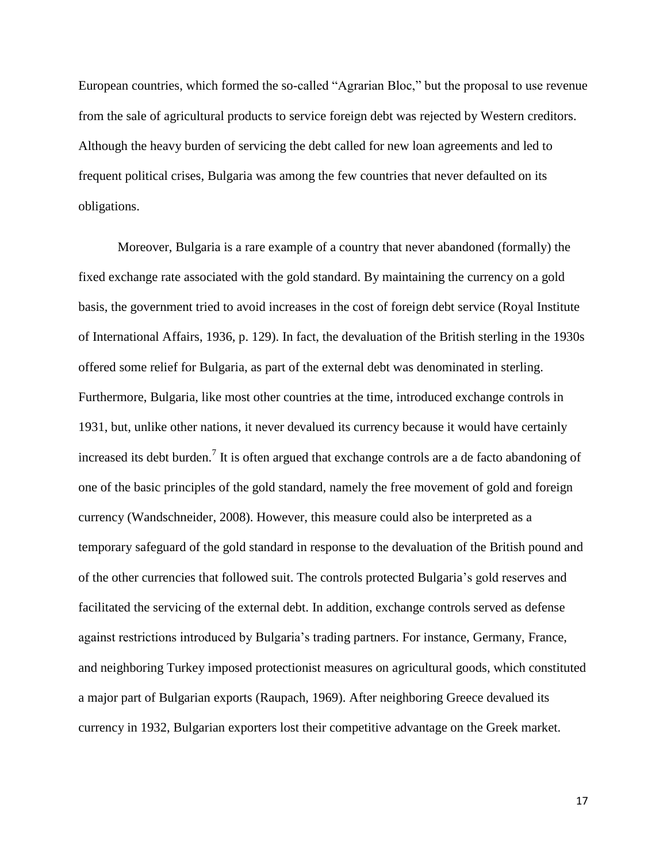European countries, which formed the so-called "Agrarian Bloc," but the proposal to use revenue from the sale of agricultural products to service foreign debt was rejected by Western creditors. Although the heavy burden of servicing the debt called for new loan agreements and led to frequent political crises, Bulgaria was among the few countries that never defaulted on its obligations.

Moreover, Bulgaria is a rare example of a country that never abandoned (formally) the fixed exchange rate associated with the gold standard. By maintaining the currency on a gold basis, the government tried to avoid increases in the cost of foreign debt service (Royal Institute of International Affairs, 1936, p. 129). In fact, the devaluation of the British sterling in the 1930s offered some relief for Bulgaria, as part of the external debt was denominated in sterling. Furthermore, Bulgaria, like most other countries at the time, introduced exchange controls in 1931, but, unlike other nations, it never devalued its currency because it would have certainly increased its debt burden.<sup>7</sup> It is often argued that exchange controls are a de facto abandoning of one of the basic principles of the gold standard, namely the free movement of gold and foreign currency (Wandschneider, 2008). However, this measure could also be interpreted as a temporary safeguard of the gold standard in response to the devaluation of the British pound and of the other currencies that followed suit. The controls protected Bulgaria's gold reserves and facilitated the servicing of the external debt. In addition, exchange controls served as defense against restrictions introduced by Bulgaria's trading partners. For instance, Germany, France, and neighboring Turkey imposed protectionist measures on agricultural goods, which constituted a major part of Bulgarian exports (Raupach, 1969). After neighboring Greece devalued its currency in 1932, Bulgarian exporters lost their competitive advantage on the Greek market.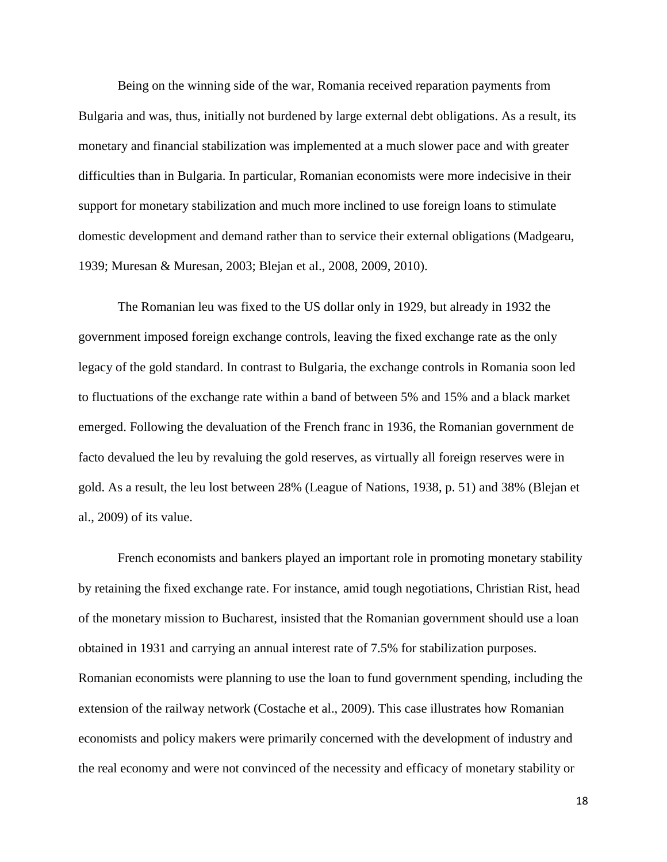Being on the winning side of the war, Romania received reparation payments from Bulgaria and was, thus, initially not burdened by large external debt obligations. As a result, its monetary and financial stabilization was implemented at a much slower pace and with greater difficulties than in Bulgaria. In particular, Romanian economists were more indecisive in their support for monetary stabilization and much more inclined to use foreign loans to stimulate domestic development and demand rather than to service their external obligations (Madgearu, 1939; Muresan & Muresan, 2003; Blejan et al., 2008, 2009, 2010).

The Romanian leu was fixed to the US dollar only in 1929, but already in 1932 the government imposed foreign exchange controls, leaving the fixed exchange rate as the only legacy of the gold standard. In contrast to Bulgaria, the exchange controls in Romania soon led to fluctuations of the exchange rate within a band of between 5% and 15% and a black market emerged. Following the devaluation of the French franc in 1936, the Romanian government de facto devalued the leu by revaluing the gold reserves, as virtually all foreign reserves were in gold. As a result, the leu lost between 28% (League of Nations, 1938, p. 51) and 38% (Blejan et al., 2009) of its value.

French economists and bankers played an important role in promoting monetary stability by retaining the fixed exchange rate. For instance, amid tough negotiations, Christian Rist, head of the monetary mission to Bucharest, insisted that the Romanian government should use a loan obtained in 1931 and carrying an annual interest rate of 7.5% for stabilization purposes. Romanian economists were planning to use the loan to fund government spending, including the extension of the railway network (Costache et al., 2009). This case illustrates how Romanian economists and policy makers were primarily concerned with the development of industry and the real economy and were not convinced of the necessity and efficacy of monetary stability or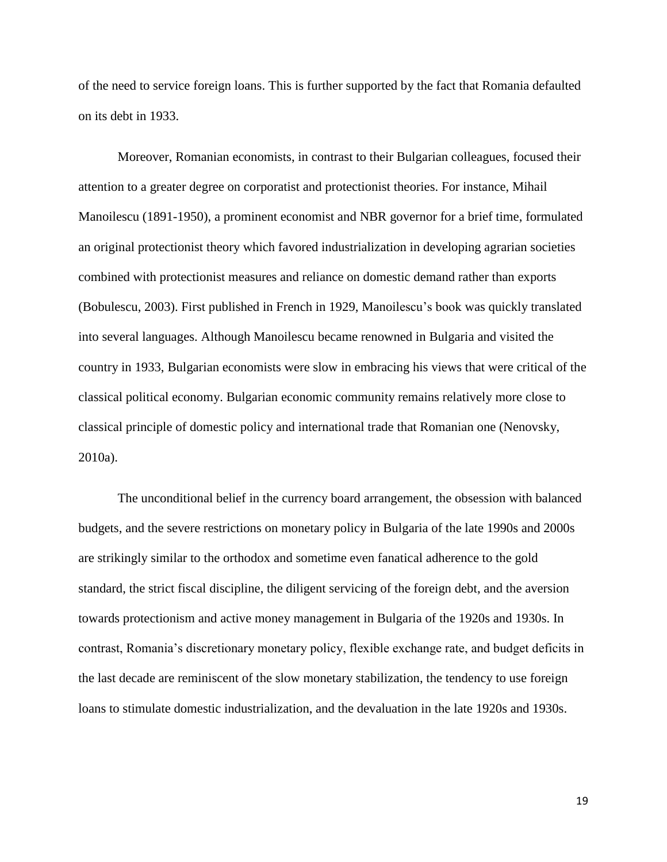of the need to service foreign loans. This is further supported by the fact that Romania defaulted on its debt in 1933.

Moreover, Romanian economists, in contrast to their Bulgarian colleagues, focused their attention to a greater degree on corporatist and protectionist theories. For instance, Mihail Manoilescu (1891-1950), a prominent economist and NBR governor for a brief time, formulated an original protectionist theory which favored industrialization in developing agrarian societies combined with protectionist measures and reliance on domestic demand rather than exports (Bobulescu, 2003). First published in French in 1929, Manoilescu's book was quickly translated into several languages. Although Manoilescu became renowned in Bulgaria and visited the country in 1933, Bulgarian economists were slow in embracing his views that were critical of the classical political economy. Bulgarian economic community remains relatively more close to classical principle of domestic policy and international trade that Romanian one (Nenovsky, 2010a).

The unconditional belief in the currency board arrangement, the obsession with balanced budgets, and the severe restrictions on monetary policy in Bulgaria of the late 1990s and 2000s are strikingly similar to the orthodox and sometime even fanatical adherence to the gold standard, the strict fiscal discipline, the diligent servicing of the foreign debt, and the aversion towards protectionism and active money management in Bulgaria of the 1920s and 1930s. In contrast, Romania's discretionary monetary policy, flexible exchange rate, and budget deficits in the last decade are reminiscent of the slow monetary stabilization, the tendency to use foreign loans to stimulate domestic industrialization, and the devaluation in the late 1920s and 1930s.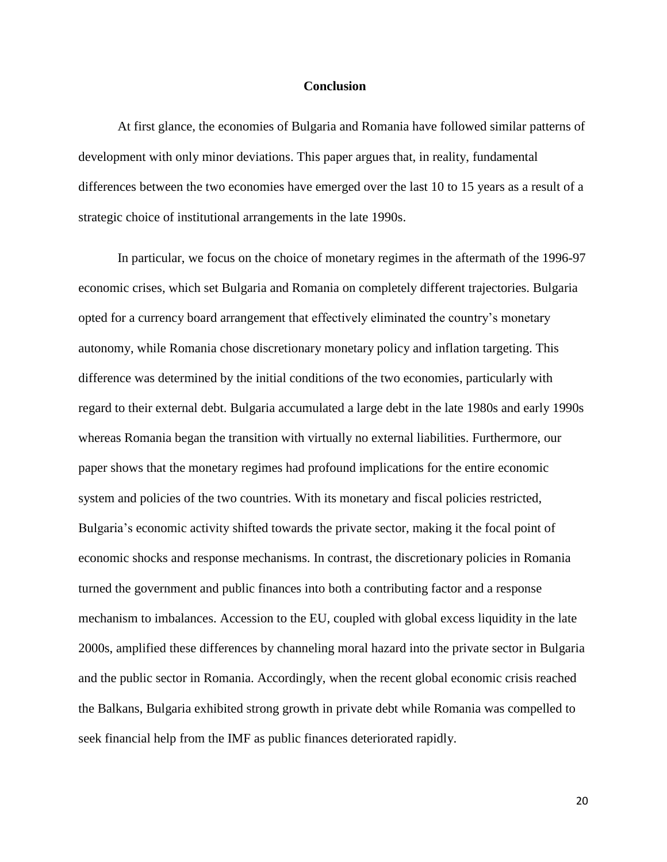## **Conclusion**

At first glance, the economies of Bulgaria and Romania have followed similar patterns of development with only minor deviations. This paper argues that, in reality, fundamental differences between the two economies have emerged over the last 10 to 15 years as a result of a strategic choice of institutional arrangements in the late 1990s.

In particular, we focus on the choice of monetary regimes in the aftermath of the 1996-97 economic crises, which set Bulgaria and Romania on completely different trajectories. Bulgaria opted for a currency board arrangement that effectively eliminated the country's monetary autonomy, while Romania chose discretionary monetary policy and inflation targeting. This difference was determined by the initial conditions of the two economies, particularly with regard to their external debt. Bulgaria accumulated a large debt in the late 1980s and early 1990s whereas Romania began the transition with virtually no external liabilities. Furthermore, our paper shows that the monetary regimes had profound implications for the entire economic system and policies of the two countries. With its monetary and fiscal policies restricted, Bulgaria's economic activity shifted towards the private sector, making it the focal point of economic shocks and response mechanisms. In contrast, the discretionary policies in Romania turned the government and public finances into both a contributing factor and a response mechanism to imbalances. Accession to the EU, coupled with global excess liquidity in the late 2000s, amplified these differences by channeling moral hazard into the private sector in Bulgaria and the public sector in Romania. Accordingly, when the recent global economic crisis reached the Balkans, Bulgaria exhibited strong growth in private debt while Romania was compelled to seek financial help from the IMF as public finances deteriorated rapidly.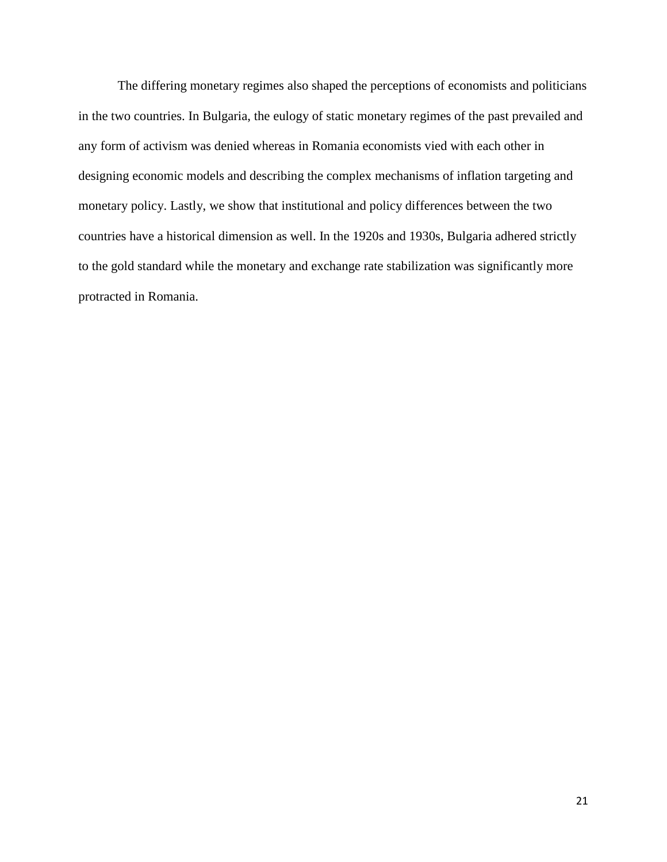The differing monetary regimes also shaped the perceptions of economists and politicians in the two countries. In Bulgaria, the eulogy of static monetary regimes of the past prevailed and any form of activism was denied whereas in Romania economists vied with each other in designing economic models and describing the complex mechanisms of inflation targeting and monetary policy. Lastly, we show that institutional and policy differences between the two countries have a historical dimension as well. In the 1920s and 1930s, Bulgaria adhered strictly to the gold standard while the monetary and exchange rate stabilization was significantly more protracted in Romania.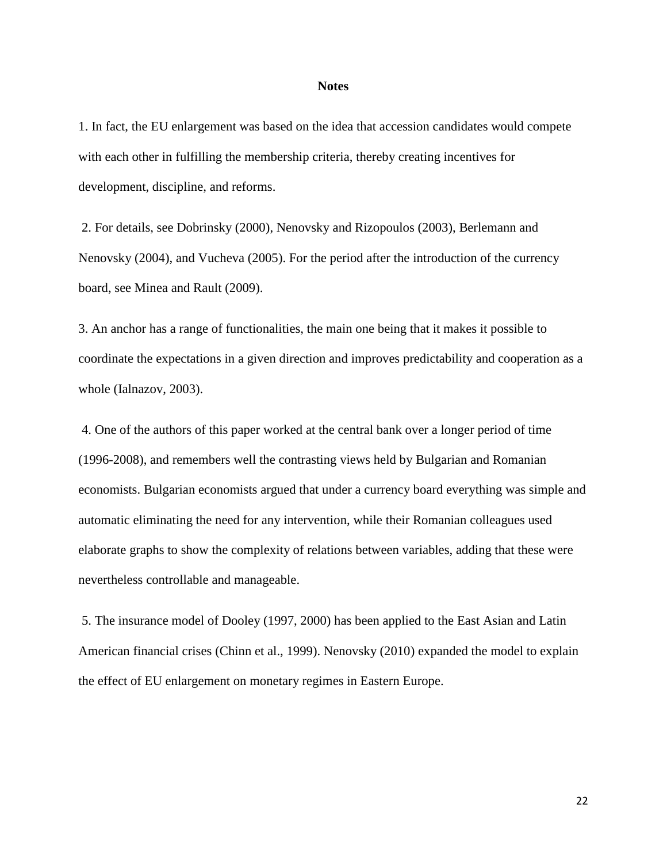#### **Notes**

1. In fact, the EU enlargement was based on the idea that accession candidates would compete with each other in fulfilling the membership criteria, thereby creating incentives for development, discipline, and reforms.

2. For details, see Dobrinsky (2000), Nenovsky and Rizopoulos (2003), Berlemann and Nenovsky (2004), and Vucheva (2005). For the period after the introduction of the currency board, see Minea and Rault (2009).

3. An anchor has a range of functionalities, the main one being that it makes it possible to coordinate the expectations in a given direction and improves predictability and cooperation as a whole (Ialnazov, 2003).

4. One of the authors of this paper worked at the central bank over a longer period of time (1996-2008), and remembers well the contrasting views held by Bulgarian and Romanian economists. Bulgarian economists argued that under a currency board everything was simple and automatic eliminating the need for any intervention, while their Romanian colleagues used elaborate graphs to show the complexity of relations between variables, adding that these were nevertheless controllable and manageable.

5. The insurance model of Dooley (1997, 2000) has been applied to the East Asian and Latin American financial crises (Chinn et al., 1999). Nenovsky (2010) expanded the model to explain the effect of EU enlargement on monetary regimes in Eastern Europe.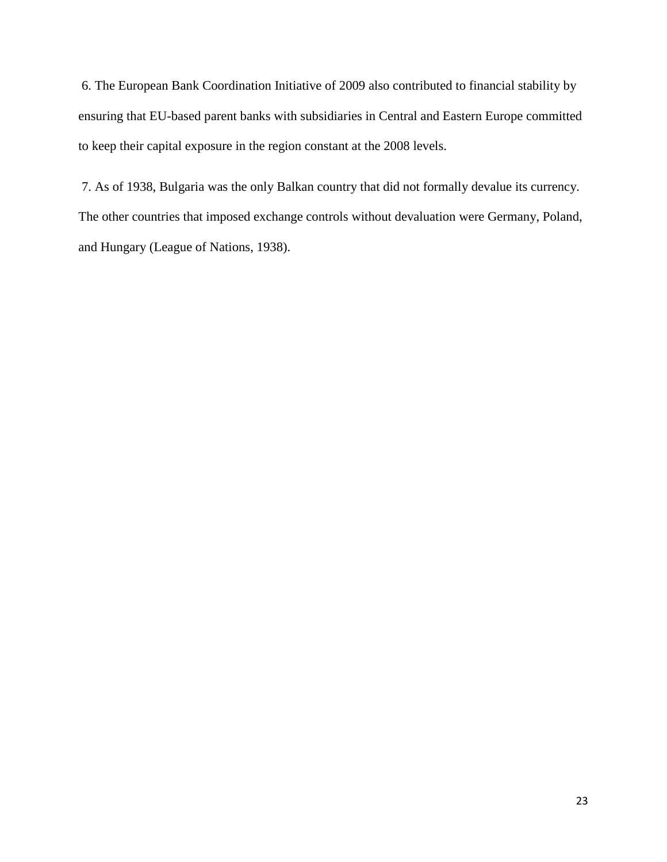6. The European Bank Coordination Initiative of 2009 also contributed to financial stability by ensuring that EU-based parent banks with subsidiaries in Central and Eastern Europe committed to keep their capital exposure in the region constant at the 2008 levels.

7. As of 1938, Bulgaria was the only Balkan country that did not formally devalue its currency. The other countries that imposed exchange controls without devaluation were Germany, Poland, and Hungary (League of Nations, 1938).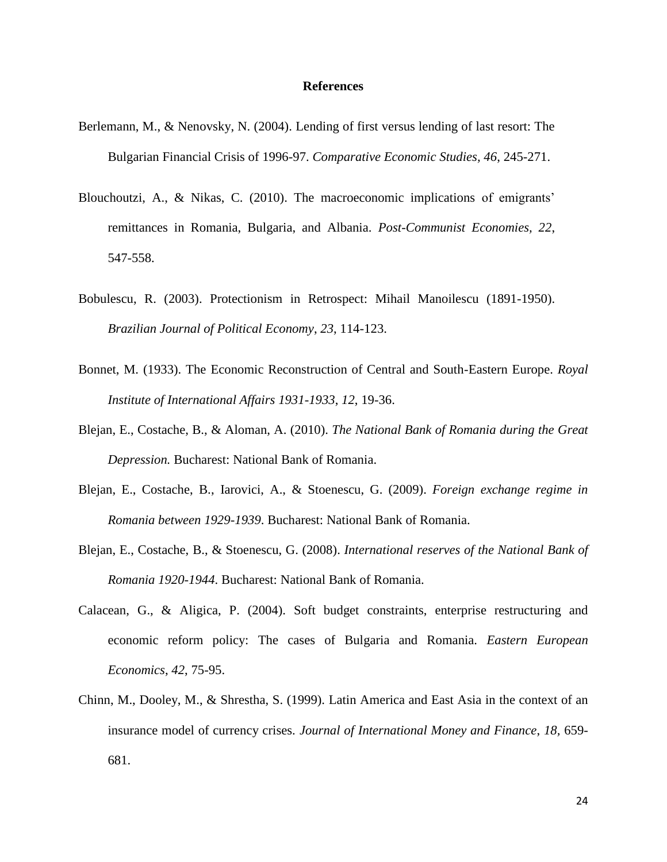### **References**

- Berlemann, M., & Nenovsky, N. (2004). Lending of first versus lending of last resort: The Bulgarian Financial Crisis of 1996-97. *Comparative Economic Studies, 46*, 245-271.
- Blouchoutzi, A., & Nikas, C. (2010). The macroeconomic implications of emigrants' remittances in Romania, Bulgaria, and Albania. *Post-Communist Economies, 22*, 547-558.
- Bobulescu, R. (2003). Protectionism in Retrospect: Mihail Manoilescu (1891-1950). *Brazilian Journal of Political Economy*, *23*, 114-123.
- Bonnet, M. (1933). The Economic Reconstruction of Central and South-Eastern Europe. *Royal Institute of International Affairs 1931-1933*, *12*, 19-36.
- Blejan, E., Costache, B., & Aloman, A. (2010). *The National Bank of Romania during the Great Depression.* Bucharest: National Bank of Romania.
- Blejan, E., Costache, B., Iarovici, A., & Stoenescu, G. (2009). *Foreign exchange regime in Romania between 1929-1939*. Bucharest: National Bank of Romania.
- Blejan, E., Costache, B., & Stoenescu, G. (2008). *International reserves of the National Bank of Romania 1920-1944*. Bucharest: National Bank of Romania.
- Calacean, G., & Aligica, P. (2004). Soft budget constraints, enterprise restructuring and economic reform policy: The cases of Bulgaria and Romania. *Eastern European Economics*, *42*, 75-95.
- Chinn, M., Dooley, M., & Shrestha, S. (1999). Latin America and East Asia in the context of an insurance model of currency crises. *Journal of International Money and Finance*, *18,* 659- 681.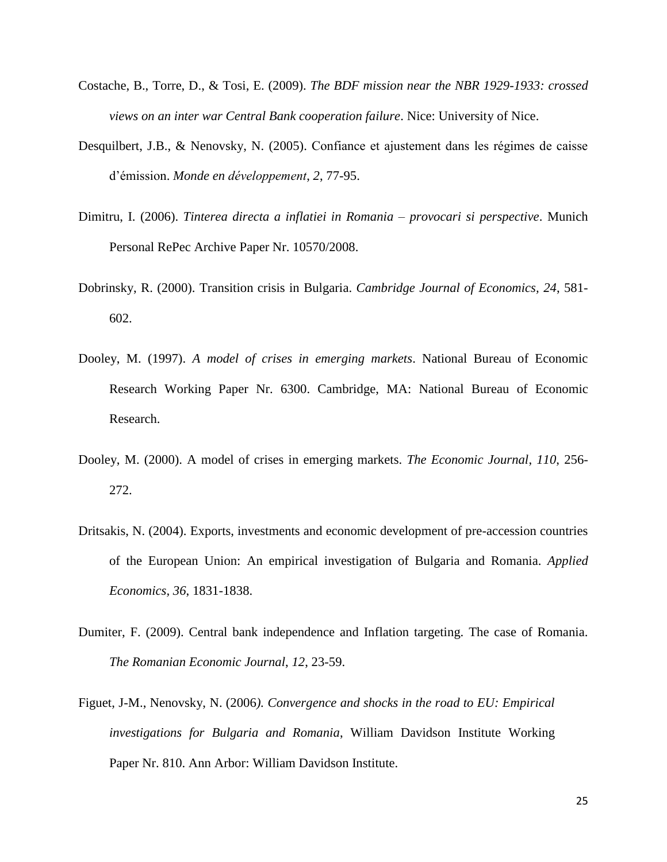- Costache, B., Torre, D., & Tosi, E. (2009). *The BDF mission near the NBR 1929-1933: crossed views on an inter war Central Bank cooperation failure*. Nice: University of Nice.
- Desquilbert, J.B., & Nenovsky, N. (2005). Confiance et ajustement dans les régimes de caisse d'émission. *Monde en développement*, *2*, 77-95.
- Dimitru, I. (2006). *Tinterea directa a inflatiei in Romania – provocari si perspective*. Munich Personal RePec Archive Paper Nr. 10570/2008.
- Dobrinsky, R. (2000). Transition crisis in Bulgaria. *Cambridge Journal of Economics, 24*, 581- 602.
- Dooley, M. (1997). *A model of crises in emerging markets*. National Bureau of Economic Research Working Paper Nr. 6300. Cambridge, MA: National Bureau of Economic Research.
- Dooley, M. (2000). A model of crises in emerging markets. *The Economic Journal*, *110*, 256- 272.
- Dritsakis, N. (2004). Exports, investments and economic development of pre-accession countries of the European Union: An empirical investigation of Bulgaria and Romania. *Applied Economics, 36*, 1831-1838.
- Dumiter, F. (2009). Central bank independence and Inflation targeting. The case of Romania. *The Romanian Economic Journal*, *12*, 23-59.
- Figuet, J-M., Nenovsky, N. (2006*). [Convergence and shocks in the road to EU: Empirical](http://ideas.repec.org/p/wdi/papers/2006-810.html)  [investigations for Bulgaria and Romania](http://ideas.repec.org/p/wdi/papers/2006-810.html)*, William Davidson Institute Working Paper Nr. 810. Ann Arbor: William Davidson Institute.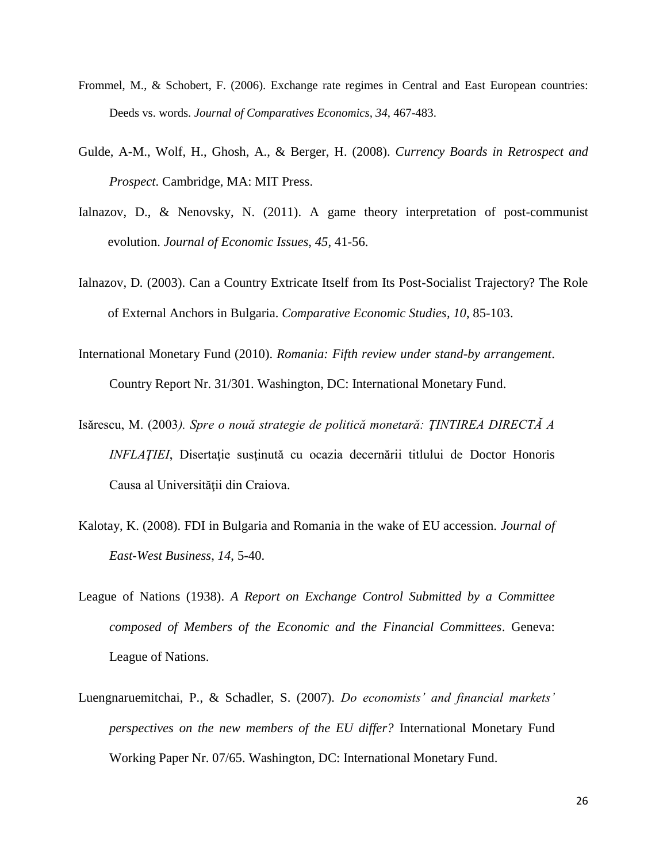- Frommel, M., & Schobert, F. (2006). Exchange rate regimes in Central and East European countries: Deeds vs. words. *Journal of Comparatives Economics, 34*, 467-483.
- Gulde, A-M., Wolf, H., Ghosh, A., & Berger, H. (2008). *Currency Boards in Retrospect and Prospect*. Cambridge, MA: MIT Press.
- Ialnazov, D., & Nenovsky, N. (2011). A game theory interpretation of post-communist evolution. *Journal of Economic Issues*, *45*, 41-56.
- Ialnazov, D*.* (2003). Can a Country Extricate Itself from Its Post-Socialist Trajectory? The Role of External Anchors in Bulgaria. *Comparative Economic Studies, 10*, 85-103.
- International Monetary Fund (2010). *Romania: Fifth review under stand-by arrangement*. Country Report Nr. 31/301. Washington, DC: International Monetary Fund.
- Isărescu, M. (2003*). Spre o nouă strategie de politică monetară: ŢINTIREA DIRECTĂ A INFLAȚIEI*, Disertație susținută cu ocazia decernării titlului de Doctor Honoris Causa al Universităţii din Craiova.
- Kalotay, K. (2008). FDI in Bulgaria and Romania in the wake of EU accession. *Journal of East-West Business*, *14*, 5-40.
- League of Nations (1938). *A Report on Exchange Control Submitted by a Committee composed of Members of the Economic and the Financial Committees*. Geneva: League of Nations.
- Luengnaruemitchai, P., & Schadler, S. (2007). *Do economists' and financial markets' perspectives on the new members of the EU differ?* International Monetary Fund Working Paper Nr. 07/65. Washington, DC: International Monetary Fund.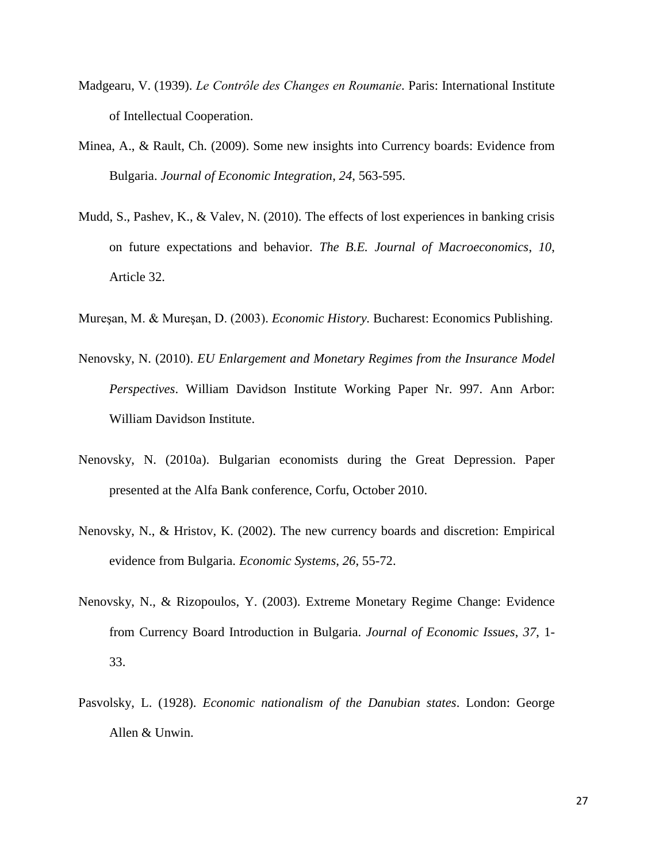- Madgearu, V. (1939). *Le Contrôle des Changes en Roumanie.* Paris: International Institute of Intellectual Cooperation.
- Minea, A., & Rault, Ch. (2009). Some new insights into Currency boards: Evidence from Bulgaria. *Journal of Economic Integration*, *24*, 563-595.
- Mudd, S., Pashev, K., & Valev, N. (2010). The effects of lost experiences in banking crisis on future expectations and behavior. *The B.E. Journal of Macroeconomics*, *10*, Article 32.
- Mureşan, M. & Mureşan, D. (2003). *Economic History.* Bucharest: Economics Publishing.
- Nenovsky, N. (2010). *EU Enlargement and Monetary Regimes from the Insurance Model Perspectives*. William Davidson Institute Working Paper Nr. 997. Ann Arbor: William Davidson Institute.
- Nenovsky, N. (2010a). Bulgarian economists during the Great Depression. Paper presented at the Alfa Bank conference, Corfu, October 2010.
- Nenovsky, N., & Hristov, K. (2002). The new currency boards and discretion: Empirical evidence from Bulgaria. *Economic Systems*, *26*, 55-72.
- Nenovsky, N., & Rizopoulos, Y. (2003). Extreme Monetary Regime Change: Evidence from Currency Board Introduction in Bulgaria. *Journal of Economic Issues*, *37*, 1- 33.
- Pasvolsky, L. (1928). *Economic nationalism of the Danubian states*. London: George Allen & Unwin.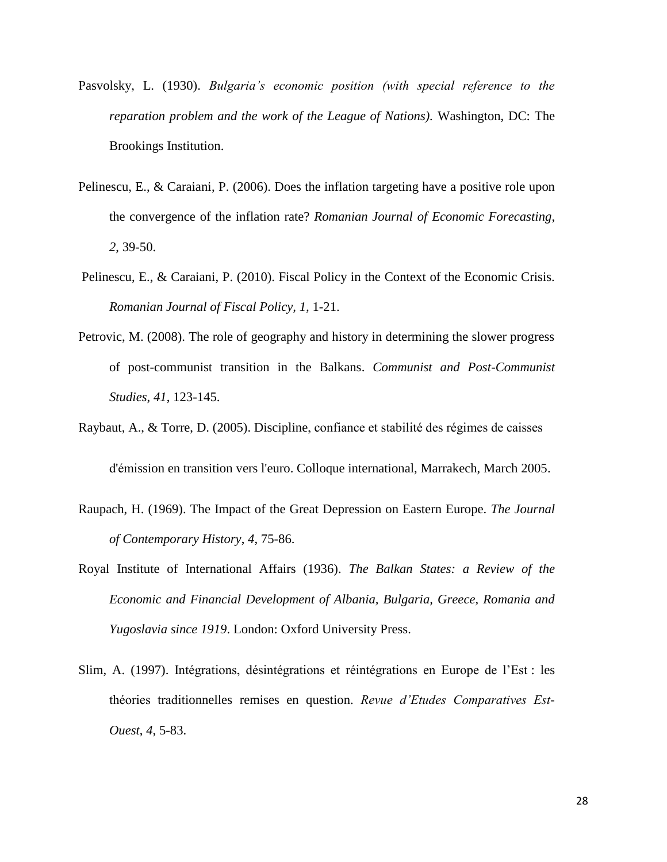- Pasvolsky, L. (1930). *Bulgaria's economic position (with special reference to the reparation problem and the work of the League of Nations).* Washington, DC: The Brookings Institution.
- Pelinescu, E., & Caraiani, P. (2006). Does the inflation targeting have a positive role upon the convergence of the inflation rate? *Romanian Journal of Economic Forecasting*, *2*, 39-50.
- Pelinescu, E., & Caraiani, P. (2010). Fiscal Policy in the Context of the Economic Crisis. *Romanian Journal of Fiscal Policy, 1,* 1-21.
- Petrovic, M. (2008). The role of geography and history in determining the slower progress of post-communist transition in the Balkans. *Communist and Post-Communist Studies*, *41*, 123-145.
- Raybaut, A., & Torre, D. (2005). Discipline, confiance et stabilité des régimes de caisses d'émission en transition vers l'euro. Colloque international, Marrakech, March 2005.
- Raupach, H. (1969). The Impact of the Great Depression on Eastern Europe. *The Journal of Contemporary History*, *4*, 75-86.
- Royal Institute of International Affairs (1936). *The Balkan States: a Review of the Economic and Financial Development of Albania, Bulgaria, Greece, Romania and Yugoslavia since 1919*. London: Oxford University Press.
- Slim, A. (1997). Intégrations, désintégrations et réintégrations en Europe de l'Est : les théories traditionnelles remises en question. *Revue d'Etudes Comparatives Est-Ouest*, *4*, 5-83.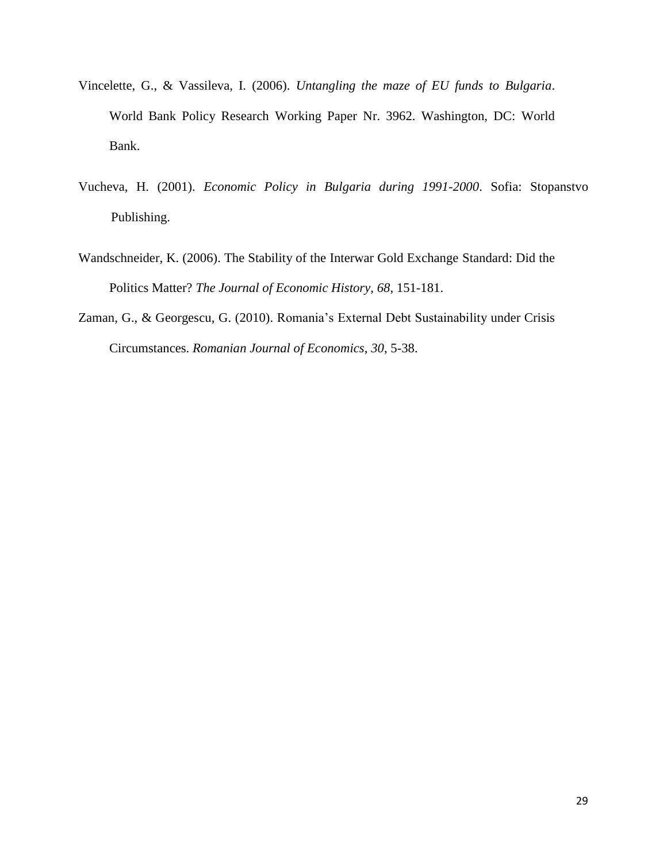- Vincelette, G., & Vassileva, I. (2006). *Untangling the maze of EU funds to Bulgaria*. World Bank Policy Research Working Paper Nr. 3962. Washington, DC: World Bank.
- Vucheva, H. (2001). *Economic Policy in Bulgaria during 1991-2000*. Sofia: Stopanstvo Publishing.
- Wandschneider, K. (2006). The Stability of the Interwar Gold Exchange Standard: Did the Politics Matter? *The Journal of Economic History*, *68*, 151-181.
- Zaman, G., & Georgescu, G. (2010). Romania's External Debt Sustainability under Crisis Circumstances. *Romanian Journal of Economics*, *30*, 5-38.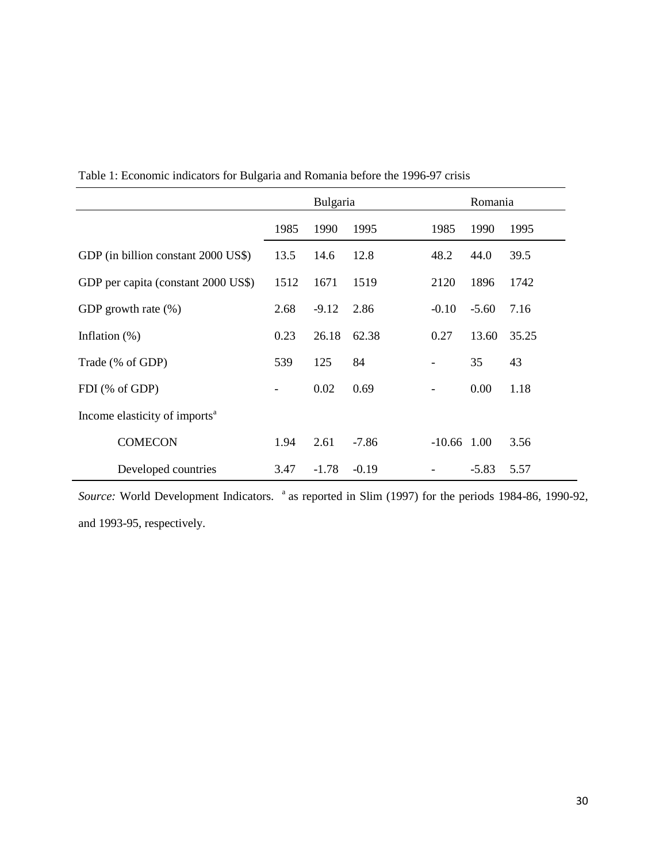|                                           | Bulgaria          |         |         |                          | Romania |       |
|-------------------------------------------|-------------------|---------|---------|--------------------------|---------|-------|
|                                           | 1985              | 1990    | 1995    | 1985                     | 1990    | 1995  |
| GDP (in billion constant 2000 US\$)       | 13.5              | 14.6    | 12.8    | 48.2                     | 44.0    | 39.5  |
| GDP per capita (constant 2000 US\$)       | 1512              | 1671    | 1519    | 2120                     | 1896    | 1742  |
| GDP growth rate $(\%)$                    | 2.68              | $-9.12$ | 2.86    | $-0.10$                  | $-5.60$ | 7.16  |
| Inflation $(\%)$                          | 0.23              | 26.18   | 62.38   | 0.27                     | 13.60   | 35.25 |
| Trade (% of GDP)                          | 539               | 125     | 84      |                          | 35      | 43    |
| FDI (% of GDP)                            | $\qquad \qquad -$ | 0.02    | 0.69    | $\overline{\phantom{a}}$ | 0.00    | 1.18  |
| Income elasticity of imports <sup>a</sup> |                   |         |         |                          |         |       |
| <b>COMECON</b>                            | 1.94              | 2.61    | $-7.86$ | $-10.66$ 1.00            |         | 3.56  |
| Developed countries                       | 3.47              | $-1.78$ | $-0.19$ |                          | $-5.83$ | 5.57  |

Table 1: Economic indicators for Bulgaria and Romania before the 1996-97 crisis

*Source:* World Development Indicators. <sup>a</sup> as reported in Slim (1997) for the periods 1984-86, 1990-92, and 1993-95, respectively.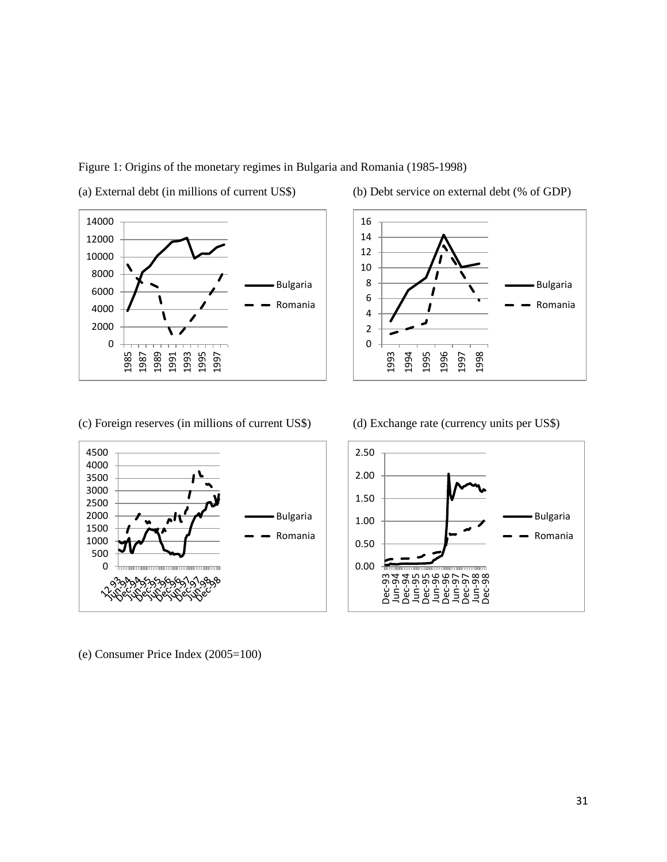Figure 1: Origins of the monetary regimes in Bulgaria and Romania (1985-1998)



(a) External debt (in millions of current US\$) (b) Debt service on external debt (% of GDP)





(e) Consumer Price Index (2005=100)

(c) Foreign reserves (in millions of current US\$) (d) Exchange rate (currency units per US\$)

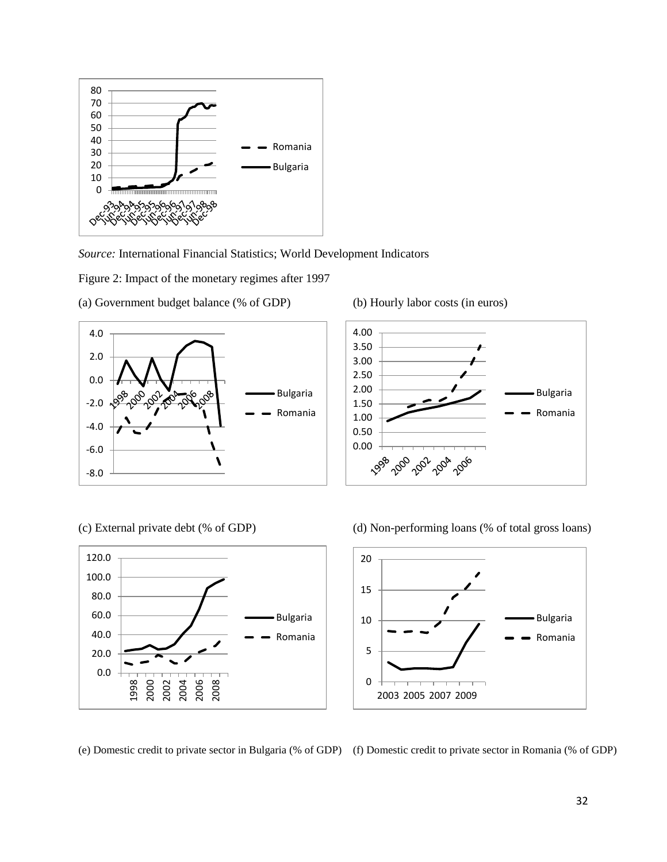

*Source:* International Financial Statistics; World Development Indicators

Figure 2: Impact of the monetary regimes after 1997



(a) Government budget balance (% of GDP) (b) Hourly labor costs (in euros)



(c) External private debt (% of GDP) (d) Non-performing loans (% of total gross loans)



(e) Domestic credit to private sector in Bulgaria (% of GDP) (f) Domestic credit to private sector in Romania (% of GDP)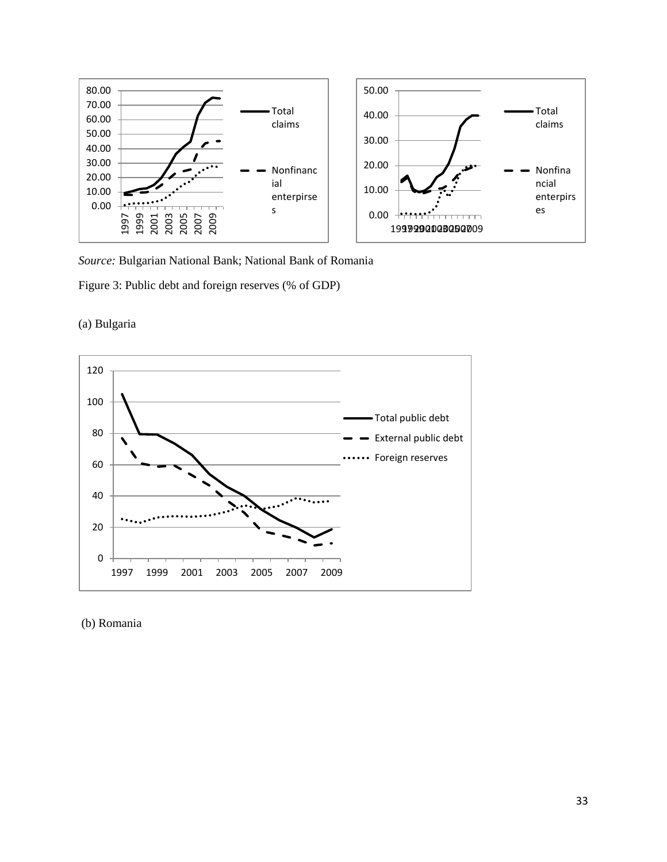

*Source:* Bulgarian National Bank; National Bank of Romania

Figure 3: Public debt and foreign reserves (% of GDP)





# (b) Romania